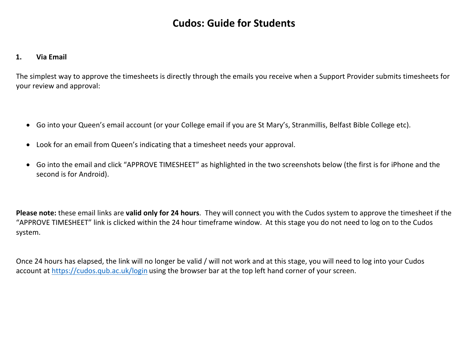# **Cudos: Guide for Students**

#### **1.Via Email**

The simplest way to approve the timesheets is directly through the emails you receive when <sup>a</sup> Support Provider submits timesheets for your review and approval:

- $\bullet$ Go into your Queen's email account (or your College email if you are St Mary's, Stranmillis, Belfast Bible College etc).
- $\bullet$ Look for an email from Queen's indicating that <sup>a</sup> timesheet needs your approval.
- $\bullet$  Go into the email and click "APPROVE TIMESHEET" as highlighted in the two screenshots below (the first is for iPhone and the second is for Android).

**Please note:** these email links are **valid only for 24 hours**. They will connect you with the Cudos system to approve the timesheet if the "APPROVE TIMESHEET" link is clicked within the 24 hour timeframe window. At this stage you do not need to log on to the Cudos system.

Once 24 hours has elapsed, the link will no longer be valid / will not work and at this stage, you will need to log into your Cudos account at https://cudos.qub.ac.uk/login using the browser bar at the top left hand corner of your screen.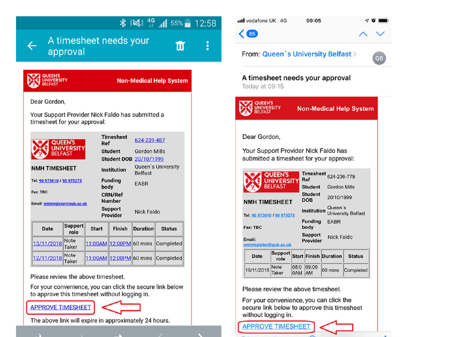

## $\frac{1}{2}$   $\frac{1}{2}$   $\frac{1}{2}$   $\frac{1}{2}$   $\frac{1}{2}$   $\frac{1}{2}$   $\frac{1}{2}$   $\frac{1}{2}$   $\frac{1}{2}$   $\frac{1}{2}$   $\frac{1}{2}$   $\frac{1}{2}$   $\frac{1}{2}$   $\frac{1}{2}$   $\frac{1}{2}$   $\frac{1}{2}$   $\frac{1}{2}$   $\frac{1}{2}$   $\frac{1}{2}$   $\frac{1}{2}$   $\frac{1}{2}$   $\frac{1}{2}$

m

 $\vdots$ 

A timesheet needs your approval



**Non-Medical Help System** 

Dear Gordon.

Your Support Provider Nick Faldo has submitted a timesheet for your approval:

| QUEEN'S<br><b>UNIVERSITY</b><br><b>BELFAST</b><br><b>NMH TIMESHEET</b><br>Tel: 90 973610 / 90 975275 |                        |              | <b>Timesheet</b><br>Ref<br><b>Student</b><br><b>Institution</b><br><b>Funding</b> |                 | 624-239-487<br><b>Gordon Mills</b><br><b>Student DOB 20/10/1999</b><br>Queen's University<br><b>Belfast</b><br>EABR |  |
|------------------------------------------------------------------------------------------------------|------------------------|--------------|-----------------------------------------------------------------------------------|-----------------|---------------------------------------------------------------------------------------------------------------------|--|
| Fax: TBC<br>Email: nmhregister@gub.ac.uk                                                             |                        | body         | <b>CRN/Ref</b><br><b>Number</b><br><b>Support</b><br><b>Provider</b>              | Nick Faldo      |                                                                                                                     |  |
| <b>Date</b>                                                                                          | <b>Support</b><br>role | <b>Start</b> | Finish                                                                            | <b>Duration</b> | <b>Status</b>                                                                                                       |  |
| 13/11/2018                                                                                           | <b>Note</b><br>Taker   |              | 11:00AM 12:00PM 60 mins                                                           |                 | Completed                                                                                                           |  |
| 12/11/2018                                                                                           | <b>Note</b><br>Taker   |              | 11:00AM 12:00PM 60 mins                                                           |                 | Completed                                                                                                           |  |

Please review the above timesheet.

For your convenience, you can click the secure link below to approve this timesheet without logging in.



 $\mathbf{A}$ 

The above link will expire in approximately 24 hours.



For your convenience, you can click the secure link below to approve this timesheet without logging in.

**APPROVE TIMESHEET**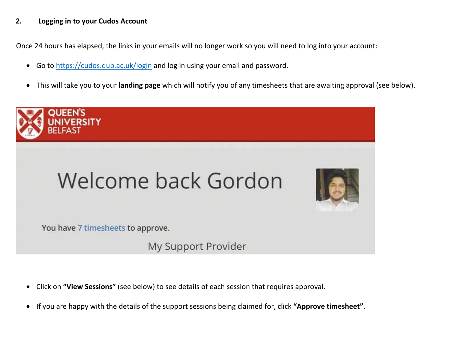#### **2.Logging in to your Cudos Account**

Once 24 hours has elapsed, the links in your emails will no longer work so you will need to log into your account:

- $\bullet$ Go to https://cudos.qub.ac.uk/login and log in using your email and password.
- $\bullet$ This will take you to your **landing page** which will notify you of any timesheets that are awaiting approval (see below).



- $\bullet$ Click on **"View Sessions"** (see below) to see details of each session that requires approval.
- $\bullet$ If you are happy with the details of the support sessions being claimed for, click **"Approve timesheet"**.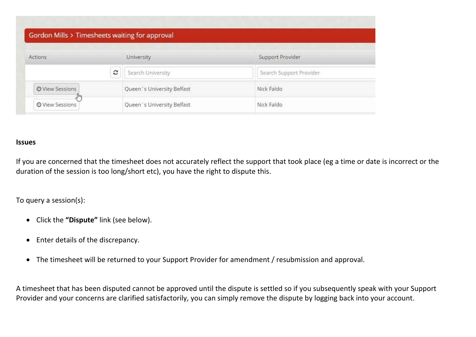| Actions                         | University                 | Support Provider        |
|---------------------------------|----------------------------|-------------------------|
|                                 | c<br>Search University     | Search Support Provider |
| O View Sessions                 | Queen's University Belfast | Nick Faldo              |
| $J_{\mu\nu}$<br>© View Sessions | Queen's University Belfast | Nick Faldo              |

### **Issues**

If you are concerned that the timesheet does not accurately reflect the support that took place (eg <sup>a</sup> time or date is incorrect or the duration of the session is too long/short etc), you have the right to dispute this.

To query <sup>a</sup> session(s):

- Click the **"Dispute"** link (see below).
- Enter details of the discrepancy.
- $\bullet$ The timesheet will be returned to your Support Provider for amendment / resubmission and approval.

A timesheet that has been disputed cannot be approved until the dispute is settled so if you subsequently speak with your Support Provider and your concerns are clarified satisfactorily, you can simply remove the dispute by logging back into your account.